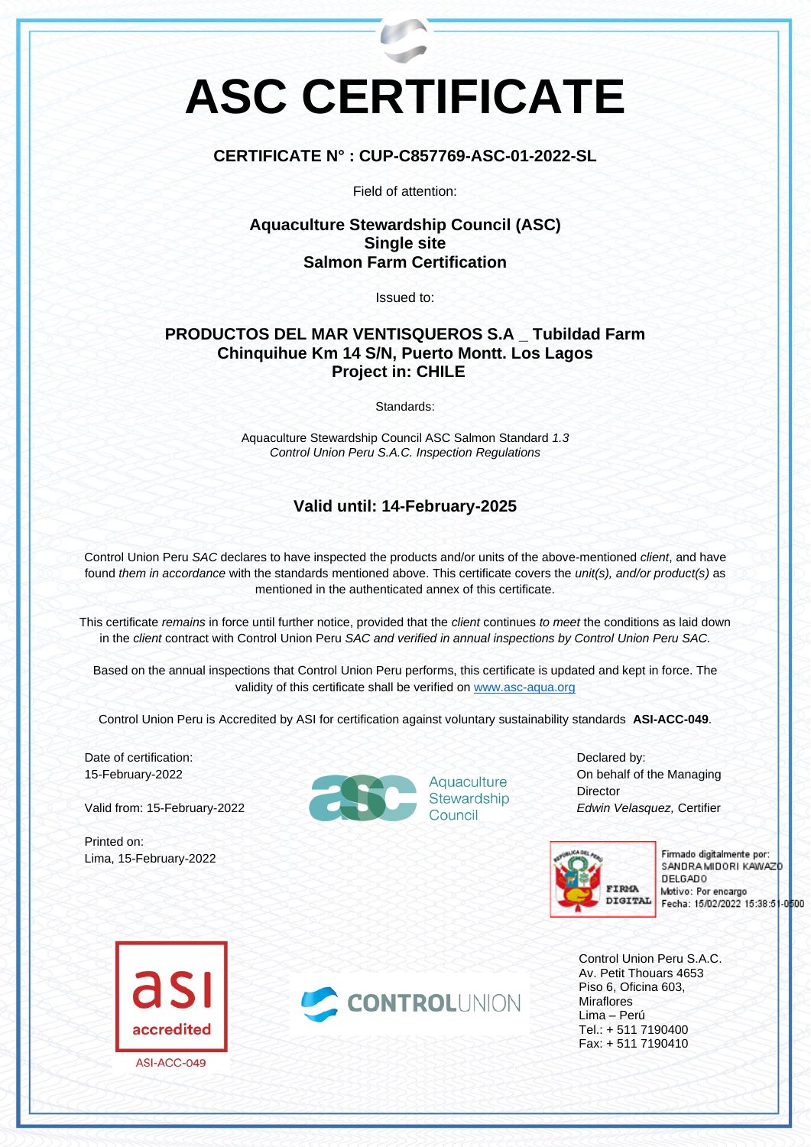# **ASC CERTIFICATE**

#### **CERTIFICATE N° : CUP-C857769-ASC-01-2022-SL**

Field of attention:

### **Aquaculture Stewardship Council (ASC) Single site Salmon Farm Certification**

Issued to:

## **PRODUCTOS DEL MAR VENTISQUEROS S.A \_ Tubildad Farm Chinquihue Km 14 S/N, Puerto Montt. Los Lagos Project in: CHILE**

Standards:

Aquaculture Stewardship Council ASC Salmon Standard *1.3 Control Union Peru S.A.C. Inspection Regulations*

### **Valid until: 14-February-2025**

Control Union Peru *SAC* declares to have inspected the products and/or units of the above-mentioned *client*, and have found *them in accordance* with the standards mentioned above. This certificate covers the *unit(s), and/or product(s)* as mentioned in the authenticated annex of this certificate.

This certificate *remains* in force until further notice, provided that the *client* continues *to meet* the conditions as laid down in the *client* contract with Control Union Peru *SAC and verified in annual inspections by Control Union Peru SAC.*

Based on the annual inspections that Control Union Peru performs, this certificate is updated and kept in force. The validity of this certificate shall be verified on [www.asc-aqua.org](http://www.asc-aqua.org/)

Control Union Peru is Accredited by ASI for certification against voluntary sustainability standards **ASI-ACC-049**.

Date of certification: 15-February-2022

Valid from: 15-February-2022

Printed on: Lima, 15-February-2022



Aquaculture<br>Stewardship

Declared by: On behalf of the Managing **Director** *Edwin Velasquez,* Certifier



Firmado digitalmente por: SANDRA MIDORI KAWAZD **DELGADO** Motivo: Por encargo Fecha: 15/02/2022 15:38:51-0600

Control Union Peru S.A.C. Av. Petit Thouars 4653 Piso 6, Oficina 603, Miraflores Lima – Perú Tel.: + 511 7190400 Fax: + 511 7190410



ASI-ACC-049